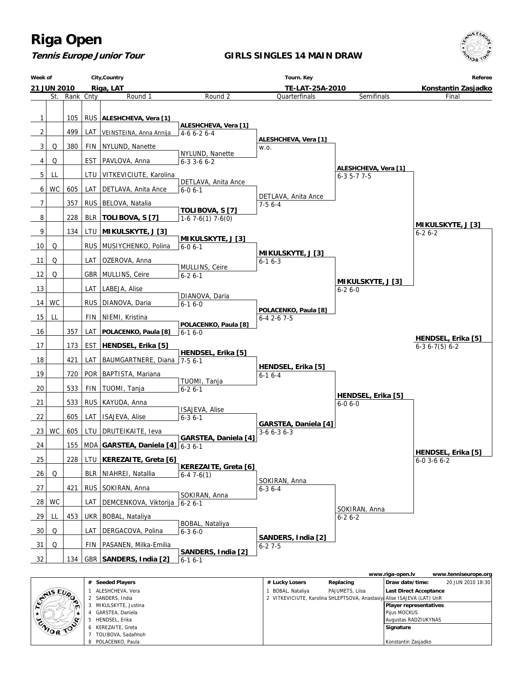**Tennis Europe Junior Tour**

#### **GIRLS SINGLES 14 MAIN DRAW**



|                  |                     |                                                                         |                 | www.riga-open.lv              | www.tenniseurope.org |
|------------------|---------------------|-------------------------------------------------------------------------|-----------------|-------------------------------|----------------------|
|                  | # Seeded Players    | # Lucky Losers                                                          | Replacing       | Draw date/time:               | 20 JUN 2010 18:30    |
|                  | ALESHCHEVA, Vera    | BOBAL, Nataliya                                                         | PAJUMETS, Liisa | <b>Last Direct Acceptance</b> |                      |
| <b>STAIS EUP</b> | 2 SANDERS, India    | 2 VITKEVICIUTE, Karolina SHLEPTSOVA, Anastasiya Alise ISAJEVA (LAT) UnR |                 |                               |                      |
|                  | MIKULSKYTE, Justina |                                                                         |                 | <b>Player representatives</b> |                      |
| $\star$          | GARSTEA, Daniela    |                                                                         |                 | Pijus MOCKUS                  |                      |
| ENIOR TOP        | HENDSEL, Erika      |                                                                         |                 | Augustas RADZIUKYNAS          |                      |
|                  | 6 KEREZAITE, Greta  |                                                                         |                 | Signature                     |                      |
|                  | TOLIBOVA, Sadafmoh  |                                                                         |                 |                               |                      |
|                  | 8 POLACENKO, Paula  |                                                                         |                 | l Konstantin Zasiadko         |                      |

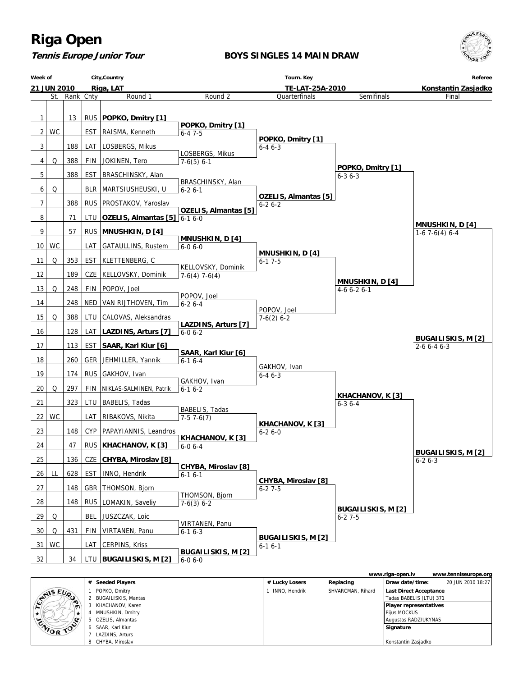

#### **BOYS SINGLES 14 MAIN DRAW**





|           |                       |                |                   | www.riga-open.lv              | www.tenniseurope.org |
|-----------|-----------------------|----------------|-------------------|-------------------------------|----------------------|
|           | # Seeded Players      | # Lucky Losers | Replacing         | Draw date/time:               | 20 JUN 2010 18:27    |
| ENIS EUR, | POPKO, Dmitry         | INNO. Hendrik  | SHVARCMAN, Rihard | <b>Last Direct Acceptance</b> |                      |
| $\sim$    | 2 BUGAILISKIS, Mantas |                |                   | Tadas BABELIS (LTU) 371       |                      |
| m         | KHACHANOV, Karen      |                |                   | Player representatives        |                      |
|           | MNUSHKIN, Dmitry      |                |                   | Pijus MOCKUS                  |                      |
|           | OZELIS, Almantas      |                |                   | Augustas RADZIUKYNAS          |                      |
| ENIOR TOP | 6 SAAR, Karl Kiur     |                |                   | Signature                     |                      |
|           | LAZDINS, Arturs       |                |                   |                               |                      |
|           | 8 CHYBA, Miroslav     |                |                   | Konstantin Zasjadko           |                      |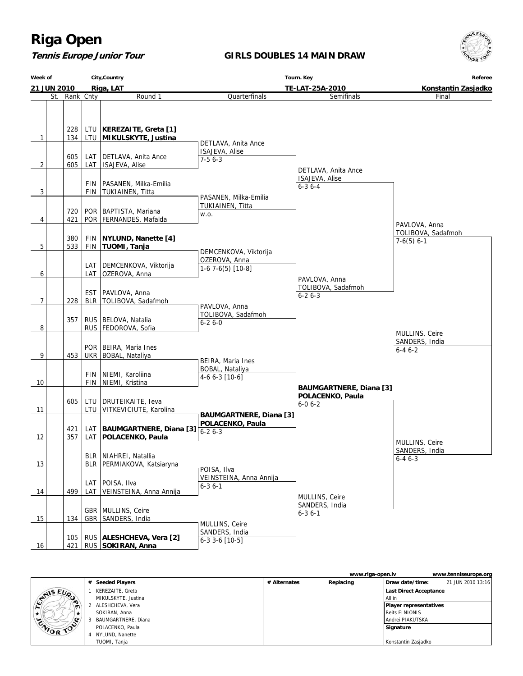### **Tennis Europe Junior Tour**

#### **GIRLS DOUBLES 14 MAIN DRAW**



| City, Country<br>Week of |  |            |            |                               |                                           | Tourn. Key                     | Referee<br>Konstantin Zasjadko |  |  |
|--------------------------|--|------------|------------|-------------------------------|-------------------------------------------|--------------------------------|--------------------------------|--|--|
| 21 JUN 2010              |  |            |            | Riga, LAT                     | TE-LAT-25A-2010                           |                                |                                |  |  |
| St.                      |  | Rank Cnty  |            | Round 1                       | Quarterfinals                             | Final                          |                                |  |  |
|                          |  |            |            |                               |                                           |                                |                                |  |  |
|                          |  |            |            |                               |                                           |                                |                                |  |  |
|                          |  |            |            |                               |                                           |                                |                                |  |  |
|                          |  | 228        |            | LTU   KEREZAITE, Greta [1]    |                                           |                                |                                |  |  |
| 1                        |  | 134        |            | LTU   MIKULSKYTE, Justina     |                                           |                                |                                |  |  |
|                          |  |            |            |                               | DETLAVA, Anita Ance                       |                                |                                |  |  |
|                          |  | 605        | LAT        | DETLAVA, Anita Ance           | ISAJEVA, Alise<br>$7-56-3$                |                                |                                |  |  |
| 2                        |  | 605        | LAT        | ISAJEVA, Alise                |                                           |                                |                                |  |  |
|                          |  |            |            |                               |                                           | DETLAVA, Anita Ance            |                                |  |  |
|                          |  |            | FIN        | PASANEN, Milka-Emilia         |                                           | ISAJEVA, Alise                 |                                |  |  |
| 3                        |  |            | <b>FIN</b> | TUKIAINEN, Titta              |                                           | $6 - 36 - 4$                   |                                |  |  |
|                          |  |            |            |                               | PASANEN, Milka-Emilia                     |                                |                                |  |  |
|                          |  | 720        |            | POR   BAPTISTA, Mariana       | TUKIAINEN, Titta                          |                                |                                |  |  |
| 4                        |  | 421        |            | POR   FERNANDES, Mafalda      | W.O.                                      |                                |                                |  |  |
|                          |  |            |            |                               |                                           |                                | PAVLOVA, Anna                  |  |  |
|                          |  |            |            |                               |                                           |                                | TOLIBOVA, Sadafmoh             |  |  |
|                          |  | 380        | FIN        | NYLUND, Nanette [4]           |                                           |                                | $7-6(5)$ 6-1                   |  |  |
| 5                        |  | 533        |            | FIN TUOMI, Tanja              | DEMCENKOVA, Viktorija                     |                                |                                |  |  |
|                          |  |            |            |                               | OZEROVA, Anna                             |                                |                                |  |  |
|                          |  |            | LAT        | DEMCENKOVA, Viktorija         | 1-6 7-6(5) [10-8]                         |                                |                                |  |  |
| 6                        |  |            | LAT        | OZEROVA, Anna                 |                                           | PAVLOVA, Anna                  |                                |  |  |
|                          |  |            |            |                               |                                           | TOLIBOVA, Sadafmoh             |                                |  |  |
|                          |  |            | <b>EST</b> | PAVLOVA, Anna                 |                                           | $6 - 26 - 3$                   |                                |  |  |
| 7                        |  | 228        |            | BLR   TOLIBOVA, Sadafmoh      |                                           |                                |                                |  |  |
|                          |  |            |            |                               | PAVLOVA, Anna                             |                                |                                |  |  |
|                          |  | 357        |            | RUS   BELOVA, Natalia         | TOLIBOVA, Sadafmoh<br>$6 - 26 - 0$        |                                |                                |  |  |
| 8                        |  |            |            | RUS   FEDOROVA, Sofia         |                                           |                                |                                |  |  |
|                          |  |            |            |                               |                                           |                                | MULLINS, Ceire                 |  |  |
|                          |  |            |            | POR   BEIRA, Maria Ines       |                                           |                                | SANDERS, India                 |  |  |
| 9                        |  | 453        |            | UKR   BOBAL, Nataliya         |                                           |                                | $6 - 46 - 2$                   |  |  |
|                          |  |            |            |                               | BEIRA, Maria Ines                         |                                |                                |  |  |
|                          |  |            | FIN        | NIEMI, Karoliina              | BOBAL, Nataliya                           |                                |                                |  |  |
| 10                       |  |            | <b>FIN</b> | NIEMI, Kristina               | 4-6 6-3 [10-6]                            |                                |                                |  |  |
|                          |  |            |            |                               |                                           | <b>BAUMGARTNERE, Diana [3]</b> |                                |  |  |
|                          |  | 605        | LTU        | DRUTEIKAITE, Ieva             |                                           | POLACENKO, Paula               |                                |  |  |
| 11                       |  |            |            | LTU VITKEVICIUTE, Karolina    |                                           | $6 - 06 - 2$                   |                                |  |  |
|                          |  |            |            |                               | <b>BAUMGARTNERE, Diana [3]</b>            |                                |                                |  |  |
|                          |  |            |            |                               | POLACENKO, Paula                          |                                |                                |  |  |
|                          |  | 421<br>357 |            | LAT   BAUMGARTNERE, Diana [3] | $6 - 26 - 3$                              |                                |                                |  |  |
| 12                       |  |            |            | LAT   POLACENKO, Paula        |                                           |                                | MULLINS, Ceire                 |  |  |
|                          |  |            |            |                               |                                           |                                | SANDERS, India                 |  |  |
|                          |  |            |            | BLR   NIAHREI, Natallia       |                                           |                                | 6-4 6-3                        |  |  |
| 13                       |  |            |            | BLR   PERMIAKOVA, Katsiaryna  | POISA, Ilva                               |                                |                                |  |  |
|                          |  |            |            |                               | VEINSTEINA, Anna Annija                   |                                |                                |  |  |
|                          |  |            | LAT        | POISA, Ilva                   | $6 - 36 - 1$                              |                                |                                |  |  |
| 14                       |  | 499        | LAT        | VEINSTEINA, Anna Annija       |                                           | MULLINS, Ceire                 |                                |  |  |
|                          |  |            |            |                               |                                           | SANDERS, India                 |                                |  |  |
|                          |  |            |            | GBR   MULLINS, Ceire          |                                           | $6 - 3 6 - 1$                  |                                |  |  |
| 15                       |  | 134        |            | GBR   SANDERS, India          |                                           |                                |                                |  |  |
|                          |  |            |            |                               | MULLINS, Ceire                            |                                |                                |  |  |
|                          |  | 105        |            | RUS   ALESHCHEVA, Vera [2]    | SANDERS, India<br>$6-3$ 3 $-6$ [10 $-5$ ] |                                |                                |  |  |
| 16                       |  | 421        |            | RUS SOKIRAN, Anna             |                                           |                                |                                |  |  |

|           |                     |              | www.riga-open.ly |                               | www.tenniseurope.org |
|-----------|---------------------|--------------|------------------|-------------------------------|----------------------|
|           | # Seeded Players    | # Alternates | Replacing        | Draw date/time:               | 21 JUN 2010 13:16    |
| GAIS EUR, | KEREZAITE, Greta    |              |                  | <b>Last Direct Acceptance</b> |                      |
|           | MIKULSKYTE, Justina |              |                  | All in                        |                      |
| m         | 2 ALESHCHEVA, Vera  |              |                  | Player representatives        |                      |
|           | SOKIRAN, Anna       |              |                  | Reits ELNIONIS                |                      |
|           | BAUMGARTNERE, Diana |              |                  | Andrei PIAKUTSKA              |                      |
| ENIOR TOP | POLACENKO, Paula    |              |                  | Signature                     |                      |
|           | NYLUND, Nanette     |              |                  |                               |                      |
|           | TUOMI, Tanja        |              |                  | Konstantin Zasjadko           |                      |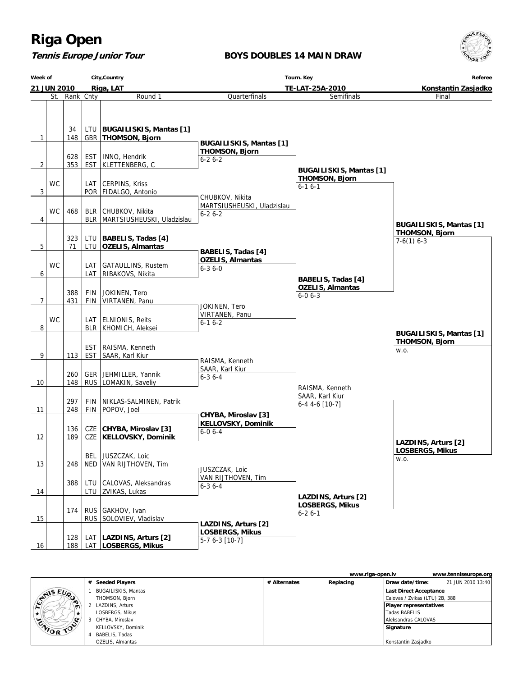### **Tennis Europe Junior Tour**

#### **BOYS DOUBLES 14 MAIN DRAW**



|                  | City, Country<br>Week of<br>Riga, LAT<br>21 JUN 2010 |     |            |                                             | Tourn. Key                                              | Referee<br>Konstantin Zasjadko                          |                                |  |
|------------------|------------------------------------------------------|-----|------------|---------------------------------------------|---------------------------------------------------------|---------------------------------------------------------|--------------------------------|--|
|                  |                                                      |     |            |                                             | TE-LAT-25A-2010                                         |                                                         |                                |  |
| St.<br>Rank Cnty |                                                      |     | Round 1    | Quarterfinals                               | Final                                                   |                                                         |                                |  |
|                  |                                                      | 34  |            | LTU   BUGAILISKIS, Mantas [1]               |                                                         |                                                         |                                |  |
| 1                |                                                      | 148 |            | GBR   THOMSON, Bjorn                        |                                                         |                                                         |                                |  |
|                  |                                                      |     |            |                                             | <b>BUGAILISKIS, Mantas [1]</b><br><b>THOMSON, Bjorn</b> |                                                         |                                |  |
|                  |                                                      | 628 | <b>EST</b> | INNO, Hendrik                               | $6 - 26 - 2$                                            |                                                         |                                |  |
| $\overline{2}$   |                                                      | 353 |            | EST   KLETTENBERG, C                        |                                                         |                                                         |                                |  |
|                  |                                                      |     |            |                                             |                                                         | <b>BUGAILISKIS, Mantas [1]</b><br><b>THOMSON, Bjorn</b> |                                |  |
|                  | <b>WC</b>                                            |     |            | LAT   CERPINS, Kriss                        |                                                         | $6 - 16 - 1$                                            |                                |  |
| 3                |                                                      |     |            | POR FIDALGO, Antonio                        |                                                         |                                                         |                                |  |
|                  |                                                      |     |            |                                             | CHUBKOV, Nikita<br>MARTSIUSHEUSKI, Uladzislau           |                                                         |                                |  |
|                  | <b>WC</b>                                            | 468 |            | BLR CHUBKOV, Nikita                         | $6 - 26 - 2$                                            |                                                         |                                |  |
| 4                |                                                      |     |            | BLR   MARTSIUSHEUSKI, Uladzislau            |                                                         |                                                         | <b>BUGAILISKIS, Mantas [1]</b> |  |
|                  |                                                      |     |            |                                             |                                                         |                                                         | <b>THOMSON, Bjorn</b>          |  |
|                  |                                                      | 323 | LTU        | BABELIS, Tadas [4]                          |                                                         |                                                         | $7-6(1)$ 6-3                   |  |
| 5                |                                                      | 71  |            | LTU   OZELIS, Almantas                      | <b>BABELIS, Tadas [4]</b>                               |                                                         |                                |  |
|                  |                                                      |     |            |                                             | <b>OZELIS, Almantas</b>                                 |                                                         |                                |  |
|                  | <b>WC</b>                                            |     | LAT        | GATAULLINS, Rustem                          | $6 - 36 - 0$                                            |                                                         |                                |  |
| 6                |                                                      |     | LAT        | RIBAKOVS, Nikita                            |                                                         | <b>BABELIS, Tadas [4]</b>                               |                                |  |
|                  |                                                      |     |            |                                             |                                                         | <b>OZELIS, Almantas</b>                                 |                                |  |
|                  |                                                      | 388 | FIN        | JOKINEN, Tero                               |                                                         | $6 - 06 - 3$                                            |                                |  |
| 7                |                                                      | 431 | <b>FIN</b> | VIRTANEN, Panu                              | JOKINEN, Tero                                           |                                                         |                                |  |
|                  |                                                      |     |            |                                             | VIRTANEN, Panu                                          |                                                         |                                |  |
|                  | <b>WC</b>                                            |     |            | LAT   ELNIONIS, Reits                       | $6 - 16 - 2$                                            |                                                         |                                |  |
| 8                |                                                      |     |            | BLR   KHOMICH, Aleksei                      |                                                         |                                                         | <b>BUGAILISKIS, Mantas [1]</b> |  |
|                  |                                                      |     |            |                                             |                                                         |                                                         | <b>THOMSON, Bjorn</b>          |  |
|                  |                                                      |     | <b>EST</b> | RAISMA, Kenneth                             |                                                         |                                                         | W.O.                           |  |
| 9                |                                                      | 113 | <b>EST</b> | SAAR, Karl Kiur                             | RAISMA, Kenneth                                         |                                                         |                                |  |
|                  |                                                      |     |            |                                             | SAAR, Karl Kiur                                         |                                                         |                                |  |
|                  |                                                      | 260 |            | GER   JEHMILLER, Yannik                     | $6 - 36 - 4$                                            |                                                         |                                |  |
| 10               |                                                      | 148 |            | RUS   LOMAKIN, Saveliy                      |                                                         | RAISMA, Kenneth                                         |                                |  |
|                  |                                                      |     |            |                                             |                                                         | SAAR, Karl Kiur                                         |                                |  |
|                  |                                                      | 297 | <b>FIN</b> | NIKLAS-SALMINEN, Patrik                     |                                                         | $6-4$ 4-6 [10-7]                                        |                                |  |
| 11               |                                                      | 248 | FIN        | POPOV, Joel                                 | CHYBA, Miroslav [3]                                     |                                                         |                                |  |
|                  |                                                      |     |            |                                             | KELLOVSKY, Dominik                                      |                                                         |                                |  |
|                  |                                                      | 136 |            | CZE CHYBA, Miroslav [3]                     | $6 - 06 - 4$                                            |                                                         |                                |  |
| 12               |                                                      | 189 |            | CZE   KELLOVSKY, Dominik                    |                                                         |                                                         | LAZDINS, Arturs [2]            |  |
|                  |                                                      |     |            |                                             |                                                         |                                                         | <b>LOSBERGS, Mikus</b>         |  |
|                  |                                                      |     |            | BEL JUSZCZAK, Loic                          |                                                         |                                                         | W.O.                           |  |
| 13               |                                                      | 248 |            | NED   VAN RIJTHOVEN, Tim                    | JUSZCZAK, Loic                                          |                                                         |                                |  |
|                  |                                                      |     |            |                                             | VAN RIJTHOVEN, Tim                                      |                                                         |                                |  |
|                  |                                                      | 388 | LTU<br>LTU | CALOVAS, Aleksandras<br> ZVIKAS, Lukas      | $6 - 3$ 6 - 4                                           |                                                         |                                |  |
| 14               |                                                      |     |            |                                             |                                                         | LAZDINS, Arturs [2]                                     |                                |  |
|                  |                                                      |     |            |                                             |                                                         | <b>LOSBERGS, Mikus</b>                                  |                                |  |
| 15               |                                                      | 174 |            | RUS GAKHOV, Ivan<br>RUS SOLOVIEV, Vladislav |                                                         | $6 - 26 - 1$                                            |                                |  |
|                  |                                                      |     |            |                                             | LAZDINS, Arturs [2]                                     |                                                         |                                |  |
|                  |                                                      | 128 |            | LAT   LAZDINS, Arturs [2]                   | <b>LOSBERGS, Mikus</b>                                  |                                                         |                                |  |
| 16               |                                                      | 188 |            | LAT   LOSBERGS, Mikus                       | 5-7 6-3 [10-7]                                          |                                                         |                                |  |

|                     |                            |              | www.riga-open.ly |                                | www.tenniseurope.org |
|---------------------|----------------------------|--------------|------------------|--------------------------------|----------------------|
|                     | # Seeded Players           | # Alternates | Replacing        | Draw date/time:                | 21 JUN 2010 13:40    |
| CYNIS EUP           | <b>BUGAILISKIS, Mantas</b> |              |                  | Last Direct Acceptance         |                      |
|                     | THOMSON, Bjorn             |              |                  | Calovas / Zvikas (LTU) 2B, 388 |                      |
| ∼<br>$\blacksquare$ | LAZDINS, Arturs            |              |                  | <b>Player representatives</b>  |                      |
|                     | LOSBERGS, Mikus            |              |                  | Tadas BABELIS                  |                      |
| ENIOR TOP           | 3 CHYBA, Miroslav          |              |                  | Aleksandras CALOVAS            |                      |
|                     | KELLOVSKY, Dominik         |              |                  | Signature                      |                      |
|                     | BABELIS, Tadas             |              |                  |                                |                      |
|                     | OZELIS, Almantas           |              |                  | Konstantin Zasjadko            |                      |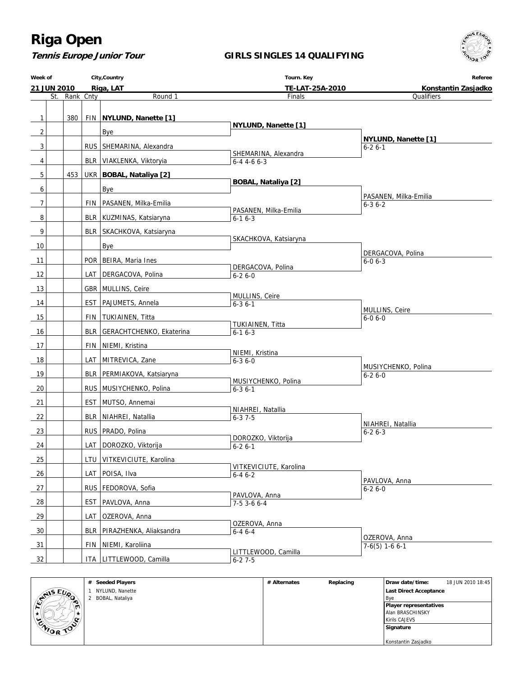**Tennis Europe Junior Tour**

#### **GIRLS SINGLES 14 QUALIFYING**

**Week of 21 JUN 2010 City,Country Riga, LAT Tourn. Key TE-LAT-25A-2010 Referee Konstantin Zasjadko** St. Rank Cnty **Round 1** 1 380 FIN **NYLUND, Nanette [1]**  $2$  | | | Bye 3 | | | | RUS | SHEMARINA, Alexandra 4 | | | | | BLR | VIAKLENKA, Viktoryia 5 453 UKR **BOBAL, Nataliya [2]** 6 | | | | | Bye 7 | | | | | FIN | PASANEN, Milka-Emilia 8 | | BLR KUZMINAS, Katsiaryna 9 | | BLR SKACHKOVA, Katsiaryna 10 Bye 11 POR BEIRA, Maria Ines 12 | LAT DERGACOVA, Polina 13 | GBR MULLINS, Ceire 14 | EST PAJUMETS, Annela 15 | FIN TUKIAINEN, Titta 16 | | BLR GERACHTCHENKO, Ekaterina 17 | FIN NIEMI, Kristina 18 | LAT MITREVICA, Zane 19 | BLR PERMIAKOVA, Katsiaryna 20 | RUS MUSIYCHENKO, Polina 21 | EST MUTSO, Annemai 22 | | BLR | NIAHREI, Natallia 23 | RUS PRADO, Polina 24 LAT DOROZKO, Viktorija 25 | | | | LTU VITKEVICIUTE, Karolina 26 | LAT POISA, Ilva 27 | RUS FEDOROVA, Sofia 28 | EST PAVLOVA, Anna 29 | | | | LAT OZEROVA, Anna 30 | BLR PIRAZHENKA, Aliaksandra 31 | FIN NIEMI, Karoliina 32 | | | | ITA | LITTLEWOOD, Camilla Finals  **NYLUND, Nanette [1]** SHEMARINA, Alexandra 6-4 4-6 6-3  **BOBAL, Nataliya [2]** PASANEN, Milka-Emilia 6-1 6-3 SKACHKOVA, Katsiaryna DERGACOVA, Polina 6-2 6-0 MULLINS, Ceire 6-3 6-1 TUKIAINEN, Titta 6-1 6-3 NIEMI, Kristina 6-3 6-0 MUSIYCHENKO, Polina 6-3 6-1 NIAHREI, Natallia 6-3 7-5 DOROZKO, Viktorija  $6 - 26 - 1$  VITKEVICIUTE, Karolina  $6 - 46 - 2$  PAVLOVA, Anna 7-5 3-6 6-4 OZEROVA, Anna 6-4 6-4 LITTLEWOOD, Camilla  $6 - 27 - 5$ **Qualifiers NYLUND, Nanette [1]** 6-2 6-1 PASANEN, Milka-Emilia 6-3 6-2 DERGACOVA, Polina 6-0 6-3 MULLINS, Ceire 6-0 6-0 MUSIYCHENKO, Polina  $6 - 26 - 0$  NIAHREI, Natallia 6-2 6-3 PAVLOVA, Anna 6-2 6-0 OZEROVA, Anna 7-6(5) 1-6 6-1

|               | <b>Seeded Players</b><br># | # Alternates | Replacing | Draw date/time:               | 18 JUN 2010 18:45 |
|---------------|----------------------------|--------------|-----------|-------------------------------|-------------------|
| MIS EUP       | NYLUND, Nanette            |              |           | Last Direct Acceptance        |                   |
| ಾ             | BOBAL, Nataliya            |              |           | <b>B</b> ve                   |                   |
| ∽             |                            |              |           | <b>Player representatives</b> |                   |
|               |                            |              |           | Alan BRASCHINSKY              |                   |
| œ             |                            |              |           | Kirils CAJEVS                 |                   |
| <b>WORTON</b> |                            |              |           | Signature                     |                   |
|               |                            |              |           |                               |                   |
|               |                            |              |           | Konstantin Zasjadko           |                   |